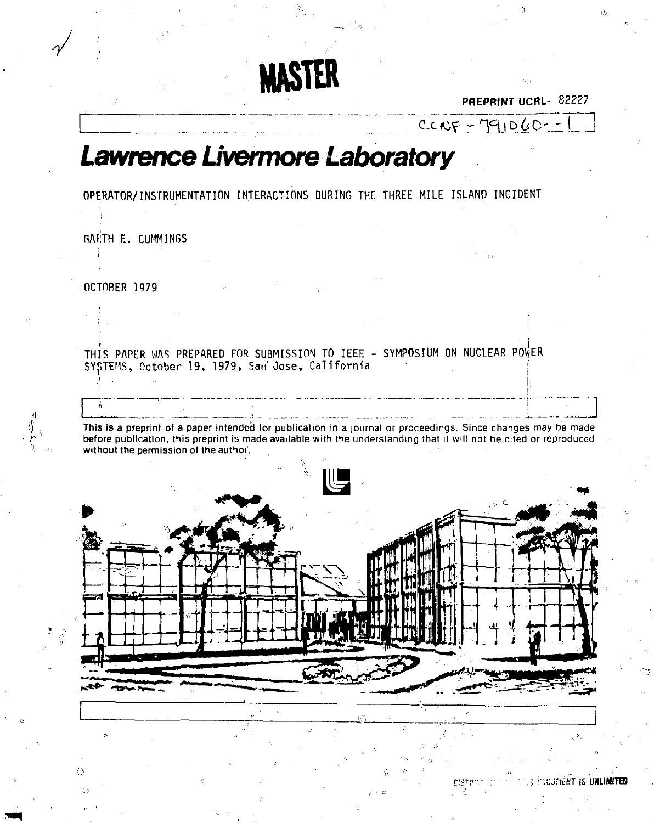PREPRINT UCRL- 82227

 $CCNF - 791060 - 1$ 

## *Lawrence Livermore Laboratory*

OPERATOR/INSTRUMENTATION INTERACTIONS DURING THE THREE MILE ISLAND INCIDENT

**MASTER** 

GARTH E. CUMMINGS

**OCTOBER 197 9** 

Ä

**/** 

THIS PAPER WAS PREPARED FOR SUBMISSION TO IEEE - SYMPOSIUM ON NUCLEAR POkER SYSTEMS, October 19, 1979, San Jose, California

This is a preprint of a paper intended for publication in a journal or proceedings. Since changes may be made before publication, this preprint is made available with the understanding that it will not be cited or reproduced without the permission of the author.



UNLIMITED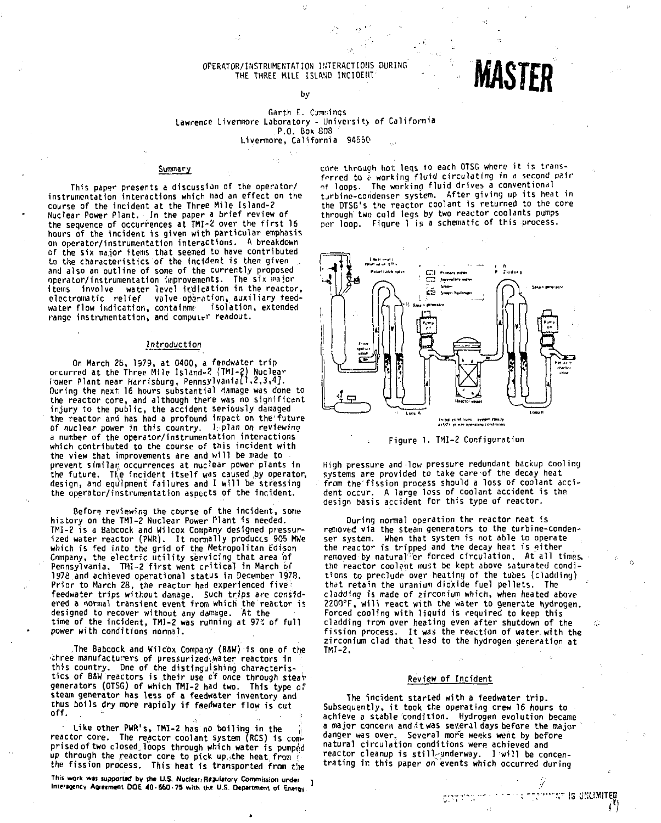#### OPERATOR/INSTRUMENTATION INTERACTIONS DURING THE THREE MILE ISLAND INCIDENT by

# **MASTER**

#### **Garth E. Cimr.ings Lawrence Livermore Laboratory - University of California P.O. Box BOS**  Livennore, California 94550

#### Summary

This paper presents a discussion of the operator/ instrumentation interactions which nad an effect on the course of the incident at the Three Mile Island-? Nuclear Power Plant. In the paper a brief review of the sequence of occurrences at TMI-2 over the first 16 hours of the incident, is given with particular emphasis on operator/instrumentation interactions. A breakdown of the six major items that seemed to have contributed to the characteristics of the incident is then given and also an outline of some of the currently proposed operator/instrumentation improvements. The six major items involve water level indication in the reactor, electromatic relief valve operation, auxiliary feedwater flow indication, containmr isolation, extended range instrumentation, and computer readout.

#### Introduction

On March 28, 1979, at 0400, a feedwater tri p occurred at the Three Mile Island-? (TMI-2) Nuclear lower Plant near Harrlsburg, Pennsylvania!',2,3,4]. During the next 16 hours substantial damage was done to the reactor core, and although there was no significant injury to the public, the accident seriously damaged the reactor and has had a profound impact on the future<br>of nuclear power in this country. I plan on reviewing a number of the operator/instrumentation interactions which contributed to the course of this incident with the view that improvements are and will be made to prevent similar; occurrences at nuclear power plants 1n the future. The incident itself was caused by operator, design, and equipment failures and I will be stressing the operator/instrumentation aspects of the incident.

Before reviewing the course of the incident, some history on the TMI-2 Nuclear Power Plant is needed. TMI-2 is a Babcock and Wilcox Company designed pressurized water reactor (PWR). It normally produces 905 MWe<br>which is fed into the grid of the Metropolitan Edison Company, the electric utility servicing that area of Pennsylvania. TMI-2 first went critical in March of 197B and achieved operational status in December 1978. Prior to March 28, the reactor had experienced five feedwater trips without damage. Such trips *are* considered a normal transient event from which the reactor is designed to recover without any damage. At the time of the incident, TMI-2 was running at 97% of full power with conditions normal.

The Babcock and Wilcbx Company (BSW) is one of the three manufacturers of pressurized.water reactors in this country. One of the distinguishing characteristics of B&W reactors is their use of once through steam generators (0TSG) of which TMI-2 had two. This type of steam generator has less of a feedwater Inventory and thus boils dry more rapidly if feedwater flow is cut off.

Like other PWR's, TMI-2 has no boiling in the reactor core. The reactor coolant system (RCS) is comprised of two closed loops through which water is pumped up through the reactor core to pick up the heat from the fission process. This heat is transported from tire

This work was supported by the U.S. Nuclear: Regulatory Commission under **Interagency Agreement DOE 40-550-75 with the U.S. Department of energy**  core through hot leas to each OTSG where it is transforred to  $e$  working fluid circulating in a second pair of loops. The working fluid drives a conventional turbine-condenser system. After giving up its heat in the OTSG's the reactor coolant is returned to the core through two cold legs by two reactor coolants pumps per loop. Figure 1 is a schematic of this process.





High pressure and low pressure redundant backup cooling systems are provided to take care of the decay heat from the' fission process should a loss of coolant accident occur. A large loss of coolant accident is the design basis accident for this type of reactor.

During normal operation the reactor neat is removed via the steam generators to the turbine-condenser system. When that system is not able to operate the reactor is tripped and the decay heat is either removed by natural er forced circulation. At all times, the reactor coolant must be kept above saturated conditions to preclude over heatiny of the tubes (cladding) that retain the uranium dioxide fuel pellets. The cladding Is made of zirconium which, when heated above 2200°F, wil l react with the water to generate hydrogen. Forced cooling with liquid is required to keep this cladding from over heating even after shutdown of the fission process. It was the reaction of water with the zirconium clad that lead to the hydrogen generation at TKI-2.

#### Review of Incident

The incident started with a feedwater trip. Subsequently, it took the operating crew 16 hours to achieve a stable condition. Hydrogen evolution became a major concern and i t was several days before the major danger was over. Several more weeks went by before natural circulation conditions were achieved and reactor cleanup is still-underway. I will be concentrating ir. this paper on^'events which occurred during

CIRCORD OF SUSTAINABLE TO COMPARE IS UNLIMITED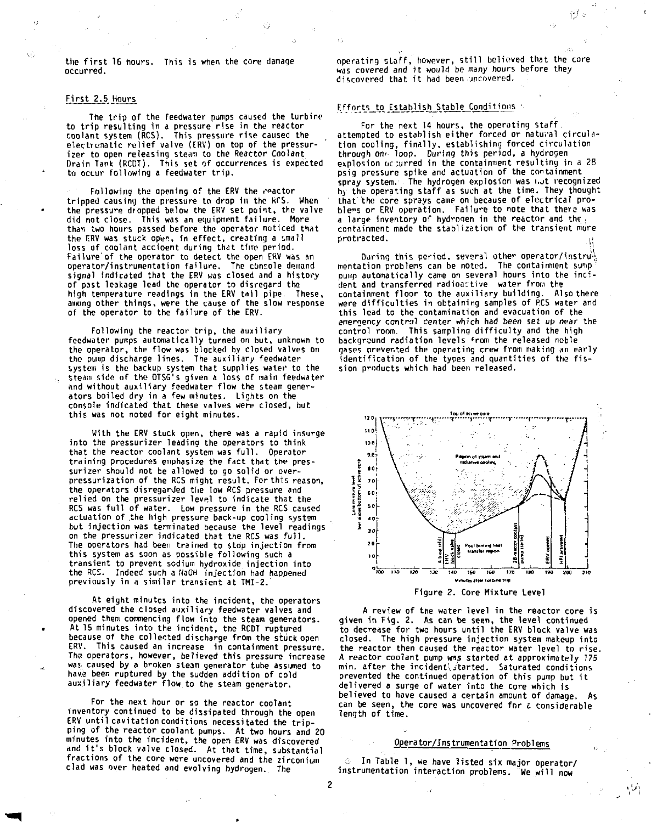**the first 16 hours. This is when the core damage occurred.** 

Ø)

#### **First 2.5 Hours**

Â,

**The trip of the feedwater pumps caused the turbine to trip resulting in a pressure rise in the reactor coolant system (RCS). This pressure rise caused the electrumatic relief valve (ERV) on top of the pressurizer to open releasing steam to the Reactor Coolant Drain Tank (RCDT). This set of occurrences is expected to occur following a feedwater trip.** 

**Following the opening of the ERV the reactor tripped causing the pressure to drop in the KCS. When the pressure dropped below the ERV set point, the valve did not close. This was an equipment failure. More than two hours passed before the operator noticed that the F.RV was stuck open, in effect, creating a small**  loss of coolant accioent during that time period. **Failure of the operator to detect the open ERV was an operator/instrumentation failure. The console demand signal indicated that the ERV was closed and a history of past leakage lead the operator to disregard the high temperature readings in the ERV tail pipe. These, among other things, were the cause of the slow response of the operator to the failure of the ERV.** 

**Following the reactor trip, the auxiliary feedwater pumps automatically turned on but, unknown to the operator, the flow was blocked by closed valves on the pump discharge lines. The auxiliary feedwater system is the backup system that supplies water to the steam side of the OTSG's given a loss of main feedwater and without auxiliary feedwater flow the steam generators boiled dry in a few minutes. Lights on the console indicated that these valves were closed, but this was not noted for eight minutes.** 

**With the ERV stuck open, there was a rapid insurge into the pressuri2er leading the operators to think that the reactor coolant system was full. Operator training procedures emphasize the fact that the pres**surizer should not be allowed to go solid or over**pressurization of the RCS might result. For this reason, the operators disregarded the low RCS pressure and relied on the pressurizer level to indicate that the RCS was full of water. Low pressure in the RCS caused actuation of the high pressure back-up cooling system but injection was terminated because the level readings on the pressurizer indicated that the RCS was full. The operators had been trained to stop injection from this system as soon as possible following such a transient to prevent sodium hydroxide injection into the RCS. Indeed such a NaOH injection had happened previously in a similar transient at TMI-2.'** 

**At eight minutes into the incident, the operators discovered the closed auxiliary feedwater valves and opened them commencing flow into the steam generators. At 15 minutes into the incident, the RCDT ruptured because of the collected discharge from the stuck open ERV. This caused an increase in containment pressure.**  The operators, however, believed this pressure increase **wa<: caused by a broken steam generator tube assumed to have been ruptured by the sudden addition of cold auxiliary feedwater flow to the steam generator.** 

**For the next hour or so the reactor coolant inventory continued to be dissipated through the open ERV until cavitation conditions necessitated the tripping of the reactor coolant pumps. At two hours and 20 minutes into the incident, the open ERV was discovered and it's block valve closed. At that time, substantial fractions of the core were uncovered and the zirconium clad was over heated and evolving hydrogen. The** 

**operating staff, however, still believed that the core was covered and it would be many hours before they discovered that it had been •jncovered.** 

, Gʻi

#### **Efforts to Establish Stable Conditions**

**For the next 14 hours, the operating staff attempted to establish either forced or natural circulation cooling, finally, establishing forced circulation through om loop. During this period, a hydrogen explosion oc;urred in the containment resulting in a 28 psig pressure spike and actuation of the containment spray system. The hydrogen explosion was i.ot recognized by the operating staff as such at the time. They thought that the core sprays came on because of electrical problems or ERV operation. Failure to note that there was a large inventory of hydroqen in the reactor and the. containment made the stabliz&tion of the transient more protracted. j.** 

During this period, several other operator/instru<sup>1</sup> mentation problems can be noted. The containment sump **pump automatically came on several hours into the incident and transferred radioactive water from the containment floor to the auxiliary building. Also there were difficulties in obtaining samples of RCS water and this lead to the contamination and evacuation of the emergency control center which had been set up near the control room. This sampling difficulty and the high background radiation levels <sup>f</sup> rom the released noble gases prevented the operating crew from making an early identification of the types and quantities of the fission products which had been released.** 



**Figure 2. Core Mixture Level** 

**A review of the water level in the reactor core is given in Fig. 2. As can be seen, the level continued to decrease for two hours until the ERV block valve was closed. The high pressure injection system makeup into the reactor then caused the reactor water level to rise. A reactor coolant pump was started at approximately 775**  min. after the incident started. Saturated conditions **prevented the continued operation of this pump but it delivered a surge of water into the core which is believed to have caused a certain amount of damage. As can be seen, the core was uncovered for** *c* **considerable length of time.** 

#### **Operator/Instrumentation Problems**

**In Table 1, we have listed six major operator/ instrumentation interaction problems. We will now** 

**2**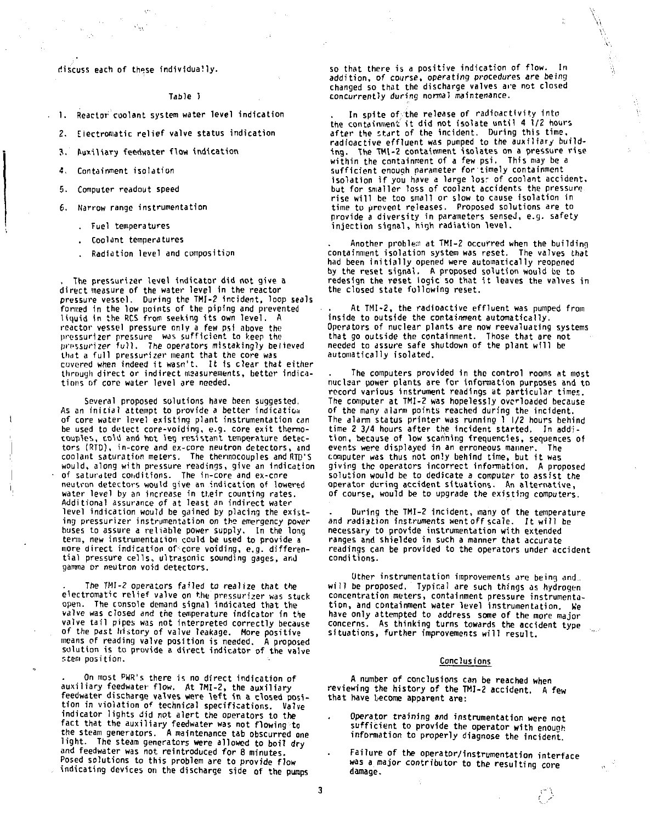**discuss each of these individually.** 

 $\mathcal{O}_{\Omega}$ 

**Table 1** 

**1. Reactor coolant system water level indication** 

**2. Eiectromatic relief valve status indication** 

**3. Auxiliary feedwater flow indication** 

**•5, Containment isolation** 

**5. Computer readout speed** 

**6. Narrow range instrumentation** 

. Fuel temperatures

. Coolant temperatures

. Radiation level and composition

The pressurizer level indicator did not give a direct measure of the water level in the reactor pressure vessel. During the TMI-2 incident, loop seals formed in the low points of the piping and prevented<br>liquid in the RCS from seeking its own level. A reactor vessel pressure only a few psi above the pressurlzer pressure wos sufficient to keep the pressurizer full. The operators mistakingly believed that a full pressurizer meant that the core was covered when indeed it wasn't. It is clear that either through direct or indirect measurements, better indications of core water level ore needed.

Several proposed solutions have been suggested. As an initia l attempt to *provide* a better indication of core water level existing plant instrumentation can be used to detect core-voiding, e.g. core exit thermo-couples, cold and hot leg resistant temperature detec-I tors (RTD), in-core and ex-core neutron detectors, and ! coolant saturation meters. The thermocouples andRTD'S would, along with pressure readings, give an indication of saturated conditions. The in-core and ex-core neutron detectors would give an indication of lowered water level by an increase in their counting rates. Additional assurance of at least an indirect water level indication would be gained by placing the existing pressurizer instrumentation on the emergency pover buses to assure a reliable power supply. In the long term, new instrumentation could be used to provide a more direct indication of core voiding, e.g. differential pressure cells, ultrasonic sounding gages, and gamma or neutron void detectors.

> The TMI-2 operators *failed* to realize that the electromatic relief valve on the pressurizer was stuck open. The console demand signal indicated that the valve was closed and *the* temperature indicator in the valve tail pipes was not interpreted correctly because of the past history of *valve* leakage. More positive means of reading valve position is needed. A proposed solution is to provide a direct indicator of the valve stem position.

> On most PWR's there is no direct indication of auxiliary feedwater flow. At THI-2, the auxiliary feedwater discharge valves were lef t in a closed position in violation of technical specifications. Valve indicator lights did not alert the operators to the fact that the auxiliary feedwater was not flowing to the steam generators. A maintenance tab obscurred one light. The steam generators were allowed to boil dry and feedwater was not reintroduced for 8 minutes. Posed solutions to this problem are to provide flow indicating devices on the discharge side of the pumps

so that there is a positive indication of flow. In addition, of *course,* operating procedures *are* being changed so that the discharge valves are not closed *concurrently* during *normal* maintenance.

In spite of the release of radioactivity into the containment it did not isolate until 4  $1/2$  hours after the start of the incident. During this time, radioactive effluent was pumped to the auxiliary building. The TM1-2 containment isolates on a pressure rise<br>within the containment of a few psi. This may be a<br>sufficient enough parameter for timely containment isolation if you have a large losr of coolant accident. but for smaller loss of coolant accidents the pressure rise wil l be too small *or* slow to cause isolation in time to prevent releases. Proposed solutions *are* to provide a diversity in parameters sensed, e.g. safety injection signal, high radiation level.

Another problem at TMI-2 occurred when the building containment isolation system was reset. The valves that had been initially opened were automatically reopened by the reset signal. A proposed solution would be to redesign the reset logic so that i t leaves the valves in the closed state following reset.

At TMI-2, the radioactive effluent was pumped from inside to outside the containment automatically. Operators of nuclear plants are now reevaluating systems that go outside the containment. Those that are not<br>needed to assure safe shutdown of the plant will be automatically isolated.

The computers provided in the control rooms at most nuclaar power plants are for information purposes and to record various instrument readings at particular times. The computer at TMI-2 was hopelessly overloaded because of the many alarm points reached during the incident. The alarm status printer was running 1 |/2 hours behind time 2 3/4 hours after the incident started. In addi-tion , because of low scanning frequencies, sequences of events were displayed in an erroneous manner. The computer was thus not only behind time, but it was giving the operators incorrect information. A proposed solution would be to dedicate a computer to assist the operator during accident situations- An alternative, of course, would be to upgrade the existing computers.

During the TMI-2 incident, many of the temperature and radiation instruments went off scale. It will be necessary to provide instrumentation with extended ranges and shielded in such a manner that accurate readings can be provided to the operators under accident conditions.

Other instrumentation improvements are being and will be proposed. Typical are such things as hydrogen concentration meters, containment pressure instrumentation, and containment water level instrumentation. We have only attempted to address some of the more major concerns. As thinking turns towards the accident type situations, further improvements will result.

#### Conclusions

A number of conclusions can be reached when reviewing the **history** of the **TMI-2 accident. A** few that have become *apparent* are:

- Operator training *and* instrumentation were not sufficient to provide the operator with enough information to properly diagnose the incident.
- Failure of the operator/instrumentation interface was a major contributor to the resulting core damage.

3